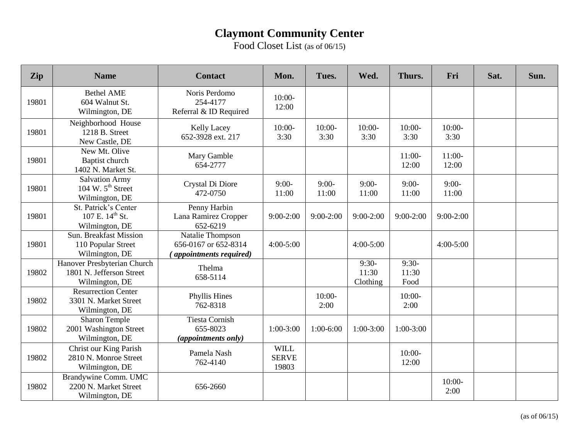Food Closet List (as of 06/15)

| Zip   | <b>Name</b>                                                               | <b>Contact</b>                                                      | Mon.                                 | Tues.            | Wed.                         | Thurs.                   | Fri               | Sat. | Sun. |
|-------|---------------------------------------------------------------------------|---------------------------------------------------------------------|--------------------------------------|------------------|------------------------------|--------------------------|-------------------|------|------|
| 19801 | <b>Bethel AME</b><br>604 Walnut St.<br>Wilmington, DE                     | Noris Perdomo<br>254-4177<br>Referral & ID Required                 | $10:00-$<br>12:00                    |                  |                              |                          |                   |      |      |
| 19801 | Neighborhood House<br>1218 B. Street<br>New Castle, DE                    | <b>Kelly Lacey</b><br>652-3928 ext. 217                             | $10:00-$<br>3:30                     | $10:00-$<br>3:30 | $10:00-$<br>3:30             | $10:00-$<br>3:30         | $10:00-$<br>3:30  |      |      |
| 19801 | New Mt. Olive<br><b>Baptist church</b><br>1402 N. Market St.              | Mary Gamble<br>654-2777                                             |                                      |                  |                              | $11:00-$<br>12:00        | $11:00-$<br>12:00 |      |      |
| 19801 | <b>Salvation Army</b><br>104 W. $5th$ Street<br>Wilmington, DE            | Crystal Di Diore<br>472-0750                                        | $9:00-$<br>11:00                     | $9:00-$<br>11:00 | $9:00-$<br>11:00             | $9:00-$<br>11:00         | $9:00-$<br>11:00  |      |      |
| 19801 | St. Patrick's Center<br>107 E. 14 <sup>th</sup> St.<br>Wilmington, DE     | Penny Harbin<br>Lana Ramirez Cropper<br>652-6219                    | $9:00-2:00$                          | $9:00-2:00$      | $9:00-2:00$                  | $9:00-2:00$              | $9:00-2:00$       |      |      |
| 19801 | <b>Sun. Breakfast Mission</b><br>110 Popular Street<br>Wilmington, DE     | Natalie Thompson<br>656-0167 or 652-8314<br>(appointments required) | $4:00 - 5:00$                        |                  | $4:00 - 5:00$                |                          | $4:00 - 5:00$     |      |      |
| 19802 | Hanover Presbyterian Church<br>1801 N. Jefferson Street<br>Wilmington, DE | Thelma<br>658-5114                                                  |                                      |                  | $9:30-$<br>11:30<br>Clothing | $9:30-$<br>11:30<br>Food |                   |      |      |
| 19802 | Resurrection Center<br>3301 N. Market Street<br>Wilmington, DE            | Phyllis Hines<br>762-8318                                           |                                      | $10:00-$<br>2:00 |                              | $10:00-$<br>2:00         |                   |      |      |
| 19802 | Sharon Temple<br>2001 Washington Street<br>Wilmington, DE                 | <b>Tiesta Cornish</b><br>655-8023<br>(appointments only)            | $1:00-3:00$                          | $1:00-6:00$      | $1:00-3:00$                  | $1:00-3:00$              |                   |      |      |
| 19802 | Christ our King Parish<br>2810 N. Monroe Street<br>Wilmington, DE         | Pamela Nash<br>762-4140                                             | <b>WILL</b><br><b>SERVE</b><br>19803 |                  |                              | $10:00-$<br>12:00        |                   |      |      |
| 19802 | Brandywine Comm. UMC<br>2200 N. Market Street<br>Wilmington, DE           | 656-2660                                                            |                                      |                  |                              |                          | $10:00-$<br>2:00  |      |      |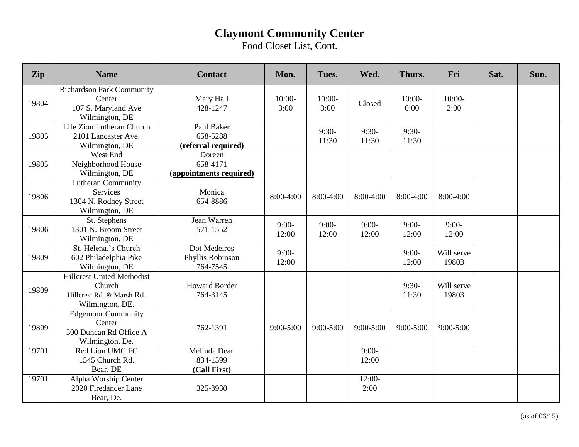Food Closet List, Cont.

| Zip   | <b>Name</b>                                                                                 | <b>Contact</b>                                | Mon.             | Tues.            | Wed.             | Thurs.           | Fri                 | Sat. | Sun. |
|-------|---------------------------------------------------------------------------------------------|-----------------------------------------------|------------------|------------------|------------------|------------------|---------------------|------|------|
| 19804 | <b>Richardson Park Community</b><br>Center<br>107 S. Maryland Ave<br>Wilmington, DE         | Mary Hall<br>428-1247                         | $10:00-$<br>3:00 | $10:00-$<br>3:00 | Closed           | $10:00-$<br>6:00 | $10:00-$<br>2:00    |      |      |
| 19805 | Life Zion Lutheran Church<br>2101 Lancaster Ave.<br>Wilmington, DE                          | Paul Baker<br>658-5288<br>(referral required) |                  | $9:30-$<br>11:30 | $9:30-$<br>11:30 | $9:30-$<br>11:30 |                     |      |      |
| 19805 | West End<br>Neighborhood House<br>Wilmington, DE                                            | Doreen<br>658-4171<br>(appointments required) |                  |                  |                  |                  |                     |      |      |
| 19806 | <b>Lutheran Community</b><br>Services<br>1304 N. Rodney Street<br>Wilmington, DE            | Monica<br>654-8886                            | 8:00-4:00        | $8:00-4:00$      | 8:00-4:00        | 8:00-4:00        | 8:00-4:00           |      |      |
| 19806 | St. Stephens<br>1301 N. Broom Street<br>Wilmington, DE                                      | Jean Warren<br>571-1552                       | $9:00-$<br>12:00 | $9:00-$<br>12:00 | $9:00-$<br>12:00 | $9:00-$<br>12:00 | $9:00-$<br>12:00    |      |      |
| 19809 | St. Helena,'s Church<br>602 Philadelphia Pike<br>Wilmington, DE                             | Dot Medeiros<br>Phyllis Robinson<br>764-7545  | $9:00-$<br>12:00 |                  |                  | $9:00-$<br>12:00 | Will serve<br>19803 |      |      |
| 19809 | <b>Hillcrest United Methodist</b><br>Church<br>Hillcrest Rd. & Marsh Rd.<br>Wilmington, DE. | <b>Howard Border</b><br>764-3145              |                  |                  |                  | $9:30-$<br>11:30 | Will serve<br>19803 |      |      |
| 19809 | <b>Edgemoor Community</b><br>Center<br>500 Duncan Rd Office A<br>Wilmington, De.            | 762-1391                                      | $9:00 - 5:00$    | $9:00 - 5:00$    | $9:00 - 5:00$    | $9:00 - 5:00$    | $9:00 - 5:00$       |      |      |
| 19701 | Red Lion UMC FC<br>1545 Church Rd.<br>Bear, DE                                              | Melinda Dean<br>834-1599<br>(Call First)      |                  |                  | $9:00-$<br>12:00 |                  |                     |      |      |
| 19701 | Alpha Worship Center<br>2020 Firedancer Lane<br>Bear, De.                                   | 325-3930                                      |                  |                  | $12:00-$<br>2:00 |                  |                     |      |      |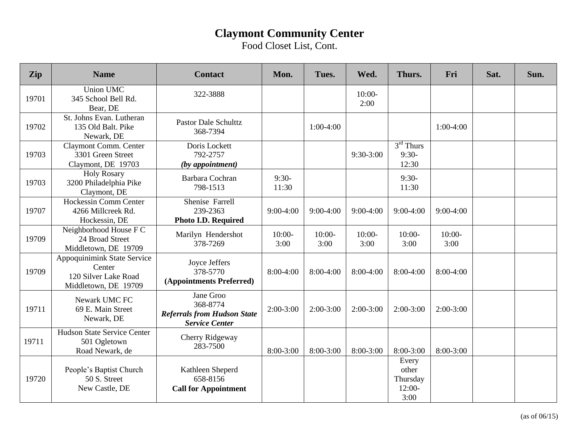Food Closet List, Cont.

| Zip   | <b>Name</b>                                                                           | <b>Contact</b>                                                                       | Mon.             | Tues.            | Wed.             | Thurs.                                         | Fri              | Sat. | Sun. |
|-------|---------------------------------------------------------------------------------------|--------------------------------------------------------------------------------------|------------------|------------------|------------------|------------------------------------------------|------------------|------|------|
| 19701 | <b>Union UMC</b><br>345 School Bell Rd.<br>Bear, DE                                   | 322-3888                                                                             |                  |                  | $10:00-$<br>2:00 |                                                |                  |      |      |
| 19702 | St. Johns Evan. Lutheran<br>135 Old Balt. Pike<br>Newark, DE                          | <b>Pastor Dale Schulttz</b><br>368-7394                                              |                  | $1:00-4:00$      |                  |                                                | $1:00-4:00$      |      |      |
| 19703 | Claymont Comm. Center<br>3301 Green Street<br>Claymont, DE 19703                      | Doris Lockett<br>792-2757<br>(by appointment)                                        |                  |                  | 9:30-3:00        | $3rd$ Thurs<br>$9:30-$<br>12:30                |                  |      |      |
| 19703 | <b>Holy Rosary</b><br>3200 Philadelphia Pike<br>Claymont, DE                          | Barbara Cochran<br>798-1513                                                          | $9:30-$<br>11:30 |                  |                  | $9:30-$<br>11:30                               |                  |      |      |
| 19707 | <b>Hockessin Comm Center</b><br>4266 Millcreek Rd.<br>Hockessin, DE                   | Shenise Farrell<br>239-2363<br>Photo I.D. Required                                   | $9:00-4:00$      | $9:00-4:00$      | $9:00-4:00$      | $9:00-4:00$                                    | $9:00-4:00$      |      |      |
| 19709 | Neighborhood House F C<br>24 Broad Street<br>Middletown, DE 19709                     | Marilyn Hendershot<br>378-7269                                                       | $10:00-$<br>3:00 | $10:00-$<br>3:00 | $10:00-$<br>3:00 | $10:00-$<br>3:00                               | $10:00-$<br>3:00 |      |      |
| 19709 | Appoquinimink State Service<br>Center<br>120 Silver Lake Road<br>Middletown, DE 19709 | Joyce Jeffers<br>378-5770<br>(Appointments Preferred)                                | 8:00-4:00        | $8:00-4:00$      | $8:00-4:00$      | $8:00-4:00$                                    | 8:00-4:00        |      |      |
| 19711 | Newark UMC FC<br>69 E. Main Street<br>Newark, DE                                      | Jane Groo<br>368-8774<br><b>Referrals from Hudson State</b><br><b>Service Center</b> | $2:00-3:00$      | $2:00-3:00$      | $2:00-3:00$      | $2:00-3:00$                                    | $2:00-3:00$      |      |      |
| 19711 | Hudson State Service Center<br>501 Ogletown<br>Road Newark, de                        | Cherry Ridgeway<br>283-7500                                                          | 8:00-3:00        | 8:00-3:00        | 8:00-3:00        | $8:00-3:00$                                    | 8:00-3:00        |      |      |
| 19720 | People's Baptist Church<br>50 S. Street<br>New Castle, DE                             | Kathleen Sheperd<br>658-8156<br><b>Call for Appointment</b>                          |                  |                  |                  | Every<br>other<br>Thursday<br>$12:00-$<br>3:00 |                  |      |      |